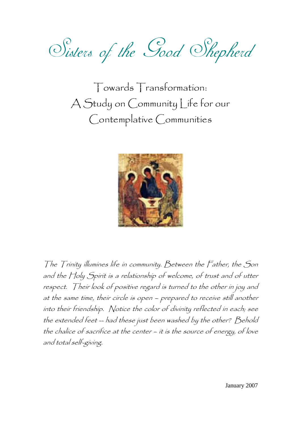Sisters of the Good Shepherd

Towards Transformation: A Study on Community Life for our Contemplative Communities



The Trinity illumines life in community. Between the Father, the Son and the Holy Spirit is a relationship of welcome, of trust and of utter respect. Their look of positive regard is turned to the other in joy and at the same time, their circle is open – prepared to receive still another into their friendship. Notice the color of divinity reflected in each; see the extended feet -- had these just been washed by the other? Behold the chalice of sacrifice at the center – it is the source of energy, of love and total self-giving.

January 2007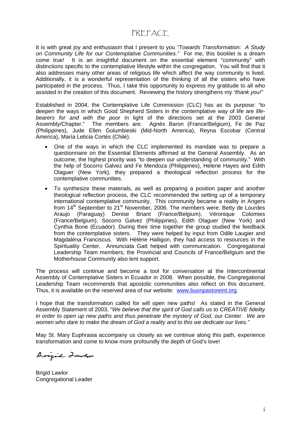### PREFACE

It is with great joy and enthusiasm that I present to you "*Towards Transformation: A Study on Community Life for our Contemplative Communities."* For me, this booklet is a dream come true! It is an insightful document on the essential element "community" with distinctions specific to the contemplative lifestyle within the congregation. You will find that it also addresses many other areas of religious life which affect the way community is lived. Additionally, it is a wonderful representation of the thinking of all the sisters who have participated in the process. Thus, I take this opportunity to express my gratitude to all who assisted in the creation of this document. Reviewing the history strengthens my *"thank you!"*

Established in 2004, the Contemplative Life Commission (CLC) has as its purpose: "to deepen the ways in which Good Shepherd Sisters in the contemplative way of life are *lifebearers for and with the poor* in light of the directions set at the 2003 General Assembly/Chapter." The members are: Agnès Baron (France/Belgium), Fe de Paz (Philippines), Jude Ellen Golumbieski (Mid-North America), Reyna Escobar (Central America), María Leticia Cortés (Chile).

- One of the ways in which the CLC implemented its mandate was to prepare a questionnaire on the Essential Elements affirmed at the General Assembly. As an outcome, the highest priority was "to deepen our understanding of community." With the help of Socorro Galvez and Fe Mendoza (Philippines), Helene Hayes and Edith Olaguer (New York), they prepared a theological reflection process for the contemplative communities.
- To synthesize these materials, as well as preparing a position paper and another theological reflection process, the CLC recommended the setting up of a temporary international contemplative community. This community became a reality in Angers from  $14<sup>th</sup>$  September to  $21<sup>st</sup>$  November, 2006. The members were: Betty de Lourdes Araujo (Paraguay) Denise Briant (France/Belgium), Véronique Colomies (France/Belgium), Socorro Galvez (Philippines), Edith Olaguer (New York) and Cynthia Bone (Ecuador). During their time together the group studied the feedback from the contemplative sisters. They were helped by input from Odile Laugier and Magdaléna Franciscus. With Hélène Halligon, they had access to resources in the Spirituality Center. Annunciata Gatt helped with communication. Congregational Leadership Team members, the Provincial and Councils of France/Belgium and the Motherhouse Community also lent support.

The process will continue and become a tool for conversation at the Intercontinental Assembly of Contemplative Sisters in Ecuador in 2008. When possible, the Congregational Leadership Team recommends that apostolic communities also reflect on this document. Thus, it is available on the reserved area of our website: www.buonpastoreint.org.

I hope that the transformation called for will open new paths! As stated in the General Assembly Statement of 2003, "*We believe that the spirit of God calls us to CREATIVE fidelity in order to open up new paths and thus penetrate the mystery of God, our Center. We are women who dare to make the dream of God a reality and to this we dedicate our lives."* 

May St. Mary Euphrasia accompany us closely as we continue along this path, experience transformation and come to know more profoundly the depth of God's love!

Brigid Lawlor

Brigid Lawlor Congregational Leader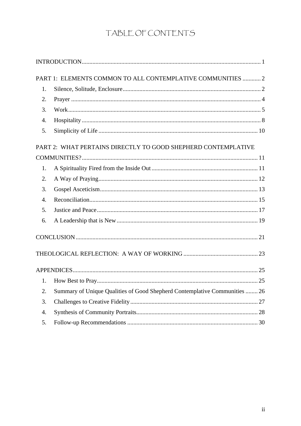# TABLE OF CONTENTS

|    | PART 1: ELEMENTS COMMON TO ALL CONTEMPLATIVE COMMUNITIES  2                |  |
|----|----------------------------------------------------------------------------|--|
| 1. |                                                                            |  |
| 2. |                                                                            |  |
| 3. |                                                                            |  |
| 4. |                                                                            |  |
| 5. |                                                                            |  |
|    | PART 2: WHAT PERTAINS DIRECTLY TO GOOD SHEPHERD CONTEMPLATIVE              |  |
|    |                                                                            |  |
| 1. |                                                                            |  |
| 2. |                                                                            |  |
| 3. |                                                                            |  |
| 4. |                                                                            |  |
| 5. |                                                                            |  |
| 6. |                                                                            |  |
|    |                                                                            |  |
|    |                                                                            |  |
|    |                                                                            |  |
| 1. |                                                                            |  |
| 2. | Summary of Unique Qualities of Good Shepherd Contemplative Communities  26 |  |
| 3. |                                                                            |  |
| 4. |                                                                            |  |
| 5. |                                                                            |  |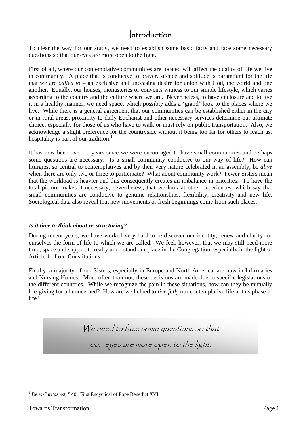### Introduction

To clear the way for our study, we need to establish some basic facts and face some necessary questions so that our eyes are more open to the light.

First of all, where our contemplative communities are located will affect the quality of life we live in community. A place that is conducive to prayer, silence and solitude is paramount for the life that we are *called to* – an exclusive and unceasing desire for union with God, the world and one another. Equally, our houses, monasteries or convents witness to our simple lifestyle, which varies according to the country and the culture where we are. Nevertheless, to have enclosure and to live it in a healthy manner, we need space, which possibly adds a 'grand' look to the places where we live. While there is a general agreement that our communities can be established either in the city or in rural areas, proximity to daily Eucharist and other necessary services determine our ultimate choice, especially for those of us who have to walk or must rely on public transportation. Also, we acknowledge a slight preference for the countryside without it being too far for others to reach us; hospitality is part of our tradition.<sup>1</sup>

It has now been over 10 years since we were encouraged to have small communities and perhaps some questions are necessary. Is a small community conducive to our way of life? How can liturgies, so central to contemplatives and by their very nature celebrated in an assembly, be *alive* when there are only two or three to participate? What about community work? Fewer Sisters mean that the workload is heavier and this consequently creates an imbalance in priorities. To have the total picture makes it necessary, nevertheless, that we look at other experiences, which say that small communities are conducive to genuine relationships, flexibility, creativity and new life. Sociological data also reveal that new movements or fresh beginnings come from such places.

#### *Is it time to think about re-structuring?*

During recent years, we have worked very hard to re-discover our identity, renew and clarify for ourselves the form of life to which we are called. We feel, however, that we may still need more time, space and support to really understand our place in the Congregation, especially in the light of Article 1 of our Constitutions.

Finally, a majority of our Sisters, especially in Europe and North America, are now in Infirmaries and Nursing Homes. More often than not, these decisions are made due to specific legislations of the different countries. While we recognize the pain in these situations, how can they be mutually life-giving for all concerned? How are we helped to *live fully* our contemplative life at this phase of life?

We need to face some questions so that

our eyes are more open to the light.

 $\overline{a}$ <sup>1</sup> *Deus Caritas est*, ¶ 40. First Encyclical of Pope Benedict XVI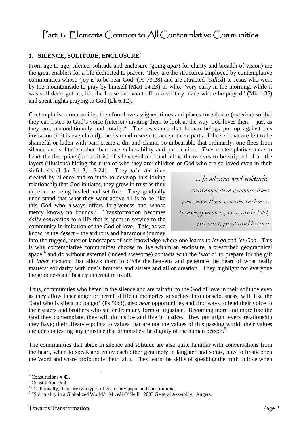## Part 1: Elements Common to All Contemplative Communities

#### **1. SILENCE, SOLITUDE, ENCLOSURE**

From age to age, silence, solitude and enclosure (going *apart* for clarity and breadth of vision) are the great enablers for a life dedicated to prayer. They are the structures employed by contemplative communities whose 'joy is to be near God' (Ps 73:28) and are attracted (*called*) to Jesus who went by the mountainside to pray by himself (Matt 14:23) or who, "very early in the morning, while it was still dark, got up, left the house and went off to a solitary place where he prayed" (Mk 1:35) and spent nights praying to God (Lk 6:12).

Contemplative communities therefore have assigned times and places for silence (exterior) so that they can listen to God's voice (interior) inviting them to look at the way God loves them – just as they are, unconditionally and totally.<sup>2</sup> The resistance that human beings put up against this invitation (if it is even heard), the fear and reserve to accept those parts of the self that are felt to be shameful or laden with pain create a din and clamor so unbearable that ordinarily, one flees from silence and solitude rather than face vulnerability and purification. *True* contemplatives take to heart the discipline (for so it is) of silence/solitude and allow themselves to be stripped of all the layers (illusions) hiding the truth of who they are: children of God who are so loved even in their

sinfulness (I Jn 3:1-3; 18-24). They *take the time* created by silence and solitude to develop this loving relationship that God initiates, they grow in trust as they experience being healed and set free. They gradually understand that what they want above all is to be like this God who always offers forgiveness and whose mercy knows no bounds. $3$  Transformation becomes *daily conversion* to a life that is spent in service to the community in imitation of the God of love. This, as we know, is the *desert* – the arduous and hazardous journey

… In silence and solitude, contemplative communities perceive their connectedness to every woman, man and child, present, past and future

into the rugged, interior landscapes of self-knowledge where one learns to *let go* and *let God*. This is why contemplative communities choose to live within an enclosure, a prescribed geographical space,<sup>4</sup> and do without external (indeed awesome) contacts with the 'world' to prepare for the gift of *inner freedom* that allows them to circle the heavens and penetrate the heart of what really matters: solidarity with one's brothers and sisters and all of creation. They highlight for everyone the goodness and beauty inherent in us all.

Thus, communities who listen in the silence and are faithful to the God of love in their solitude even as they allow inner anger or permit difficult memories to surface into consciousness, will, like the 'God who is silent no longer' (Ps 50:3), also *hear* opportunities and find ways to lend their voice to their sisters and brothers who suffer from any form of injustice. Becoming more and more like the God they contemplate, they will do justice and live in justice. They put aright every relationship they have; their lifestyle points to values that are not the values of this passing world, their values include contesting any injustice that diminishes the dignity of the human person.<sup>5</sup>

The communities that abide in silence and solitude are also quite familiar with conversations from the heart, when to speak and enjoy each other genuinely in laughter and songs, how to break open the Word and share profoundly their faith. They learn the skills of speaking the truth in love when

 $2$  Constitutions #43.

<sup>3</sup> Constitutions # 4.

<sup>&</sup>lt;sup>4</sup> Traditionally, there are two types of enclosure: papal and constitutional.

<sup>&</sup>lt;sup>5</sup> "Spirituality in a Globalized World." Miceál O'Neill. 2003 General Assembly. Angers.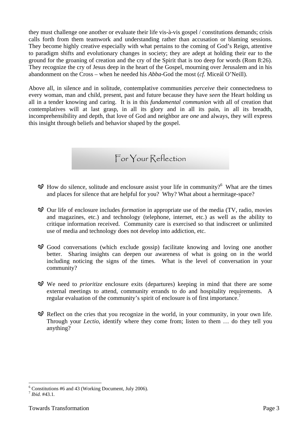they must challenge one another or evaluate their life vis-à-vis gospel / constitutions demands; crisis calls forth from them teamwork and understanding rather than accusation or blaming sessions. They become highly creative especially with what pertains to the coming of God's Reign, attentive to paradigm shifts and evolutionary changes in society; they are adept at holding their ear to the ground for the groaning of creation and the cry of the Spirit that is too deep for words (Rom 8:26). They recognize the cry of Jesus deep in the heart of the Gospel, mourning over Jerusalem and in his abandonment on the Cross – when he needed his *Abba*-God the most (*cf.* Miceál O'Neill).

Above all, in silence and in solitude, contemplative communities *perceive* their connectedness to every woman, man and child, present, past and future because they have *seen* the Heart holding us all in a tender knowing and caring. It is in this *fundamental communion* with all of creation that contemplatives will at last grasp, in all its glory and in all its pain, in all its breadth, incomprehensibility and depth, that love of God and neighbor are *one* and always, they will express this insight through beliefs and behavior shaped by the gospel.

For Your Reflection

- $\mathcal{A}$  How do silence, solitude and enclosure assist your life in community?<sup>6</sup> What are the times and places for silence that are helpful for you? Why? What about a hermitage-space?
- Our life of enclosure includes *formation* in appropriate use of the media (TV, radio, movies and magazines, etc.) and technology (telephone, internet, etc.) as well as the ability to critique information received. Community care is exercised so that indiscreet or unlimited use of media and technology does not develop into addiction, etc.
- Good conversations (which exclude gossip) facilitate knowing and loving one another better. Sharing insights can deepen our awareness of what is going on in the world including noticing the signs of the times. What is the level of conversation in your community?
- We need to *prioritize* enclosure exits (departures) keeping in mind that there are some external meetings to attend, community errands to do and hospitality requirements. A regular evaluation of the community's spirit of enclosure is of first importance.<sup>7</sup>
- $\mathcal{Q}$  Reflect on the cries that you recognize in the world, in your community, in your own life. Through your *Lectio*, identify where they come from; listen to them … do they tell you anything?

 6 Constitutions #6 and 43 (Working Document, July 2006).

<sup>7</sup> *Ibid.* #43.1*.*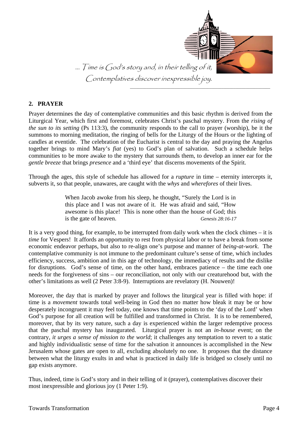

#### **2. PRAYER**

Prayer determines the day of contemplative communities and this basic rhythm is derived from the Liturgical Year, which first and foremost, celebrates Christ's paschal mystery. From the *rising of the sun to its setting* (Ps 113:3), the community responds to the call to prayer (worship), be it the summons to morning meditation, the ringing of bells for the Liturgy of the Hours or the lighting of candles at eventide. The celebration of the Eucharist is central to the day and praying the Angelus together brings to mind Mary's *fiat* (yes) to God's plan of salvation. Such a schedule helps communities to be more awake to the mystery that surrounds them, to develop an inner ear for the *gentle breeze* that brings *presence* and a 'third eye' that discerns movements of the Spirit.

Through the ages, this style of schedule has allowed for a *rupture* in time – eternity intercepts it, subverts it, so that people, unawares, are caught with the *whys* and *wherefores* of their lives.

> When Jacob awoke from his sleep, he thought, "Surely the Lord is in this place and I was not aware of it. He was afraid and said, "How awesome is this place! This is none other than the house of God; this is the gate of heaven. *Genesis 28:16-17*

It is a very good thing, for example, to be interrupted from daily work when the clock chimes – it is *time* for Vespers! It affords an opportunity to rest from physical labor or to have a break from some economic endeavor perhaps, but also to re-align one's purpose and manner of *being-at-work*. The contemplative community is not immune to the predominant culture's sense of time, which includes efficiency, success, ambition and in this age of technology, the immediacy of results and the dislike for disruptions. God's sense of time, on the other hand, embraces patience – the time each one needs for the forgiveness of sins – our reconciliation, not only with our creaturehood but, with the other's limitations as well (2 Peter 3:8-9). Interruptions are revelatory (H. Nouwen)!

Moreover, the day that is marked by prayer and follows the liturgical year is filled with hope: if time is a *movement* towards total well-being in God then no matter how bleak it may be or how desperately incongruent it may feel today, one knows that time points to the 'day of the Lord' when God's purpose for all creation will be fulfilled and transformed in Christ. It is to be remembered, moreover, that by its very nature, such a day is experienced within the larger redemptive process that the paschal mystery has inaugurated. Liturgical prayer is not an *in-house* event; on the contrary, *it urges a sense of mission to the world*; it challenges any temptation to revert to a static and highly individualistic sense of time for the salvation it announces is accomplished in the New Jerusalem whose gates are open to all, excluding absolutely no one. It proposes that the distance between what the liturgy exults in and what is practiced in daily life is bridged so closely until no gap exists anymore.

Thus, indeed, time is God's story and in their telling of it (prayer), contemplatives discover their most inexpressible and glorious joy (1 Peter 1:9).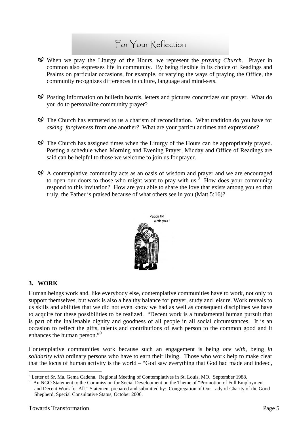### For Your Reflection

- When we pray the Liturgy of the Hours, we represent the *praying Church*. Prayer in common also expresses life in community. By being flexible in its choice of Readings and Psalms on particular occasions, for example, or varying the ways of praying the Office, the community recognizes differences in culture, language and mind-sets.
- Posting information on bulletin boards, letters and pictures concretizes our prayer. What do you do to personalize community prayer?
- The Church has entrusted to us a charism of reconciliation. What tradition do you have for *asking forgiveness* from one another? What are your particular times and expressions?
- The Church has assigned times when the Liturgy of the Hours can be appropriately prayed. Posting a schedule when Morning and Evening Prayer, Midday and Office of Readings are said can be helpful to those we welcome to join us for prayer.
- $\mathcal{A}$  A contemplative community acts as an oasis of wisdom and prayer and we are encouraged to open our doors to those who might want to pray with us.<sup>8</sup> How does your community respond to this invitation? How are you able to share the love that exists among you so that truly, the Father is praised because of what others see in you (Matt 5:16)?



#### **3. WORK**

Human beings work and, like everybody else, contemplative communities have to work, not only to support themselves, but work is also a healthy balance for prayer, study and leisure. Work reveals to us skills and abilities that we did not even know we had as well as consequent disciplines we have to acquire for these possibilities to be realized. "Decent work is a fundamental human pursuit that is part of the inalienable dignity and goodness of all people in all social circumstances. It is an occasion to reflect the gifts, talents and contributions of each person to the common good and it enhances the human person."<sup>9</sup>

Contemplative communities work because such an engagement is being *one with*, being *in solidarity with* ordinary persons who have to earn their living. Those who work help to make clear that the locus of human activity is the world – "God saw everything that God had made and indeed,

 $\overline{a}$ <sup>8</sup> Letter of Sr. Ma. Gema Cadena. Regional Meeting of Contemplatives in St. Louis, MO. September 1988.

<sup>9</sup> An NGO Statement to the Commission for Social Development on the Theme of "Promotion of Full Employment and Decent Work for All." Statement prepared and submitted by: Congregation of Our Lady of Charity of the Good Shepherd, Special Consultative Status, October 2006.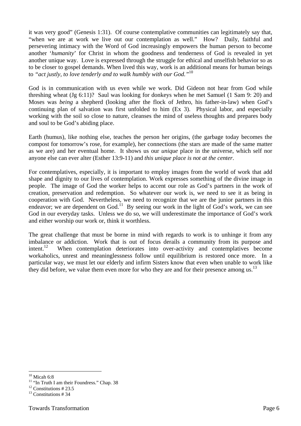it was very good" (Genesis 1:31). Of course contemplative communities can legitimately say that, "when we are at work we live out our contemplation as well." How? Daily, faithful and persevering intimacy with the Word of God increasingly empowers the human person to become another '*humanity*' for Christ in whom the goodness and tenderness of God is revealed in yet another unique way. Love is expressed through the struggle for ethical and unselfish behavior so as to be closer to gospel demands. When lived this way, work is an additional means for human beings to *"act justly, to love tenderly and to walk humbly with our God."*10

God is in communication with us even while we work. Did Gideon not hear from God while threshing wheat (Jg 6:11)? Saul was looking for donkeys when he met Samuel (1 Sam 9: 20) and Moses was *being* a shepherd (looking after the flock of Jethro, his father-in-law) when God's continuing plan of salvation was first unfolded to him (Ex 3). Physical labor, and especially working with the soil so close to nature, cleanses the mind of useless thoughts and prepares body and soul to be God's abiding place.

Earth (humus), like nothing else, teaches the person her origins, (the garbage today becomes the compost for tomorrow's rose, for example), her connections (the stars are made of the same matter as we are) and her eventual home. It shows us our *unique* place in the universe, which self nor anyone else can ever alter (Esther 13:9-11) and *this unique place is not at the center*.

For contemplatives, especially, it is important to employ images from the world of work that add shape and dignity to our lives of contemplation. Work expresses something of the divine image in people. The image of God the worker helps to accent our role as God's partners in the work of creation, preservation and redemption. So whatever our work is, we need to see it as being in cooperation with God. Nevertheless, we need to recognize that we are the junior partners in this endeavor; we are dependent on  $God<sup>11</sup>$  By seeing our work in the light of  $God's$  work, we can see God in our everyday tasks. Unless we do so, we will underestimate the importance of God's work and either worship our work or, think it worthless.

The great challenge that must be borne in mind with regards to work is to unhinge it from any imbalance or addiction. Work that is out of focus derails a community from its purpose and  $int.12$  When contemplation deteriorates into over-activity and contemplatives become workaholics, unrest and meaninglessness follow until equilibrium is restored once more. In a particular way, we must let our elderly and infirm Sisters know that even when unable to work like they did before, we value them even more for who they are and for their presence among us. $^{13}$ 

 $\overline{a}$  $10$  Micah 6:8

<sup>&</sup>lt;sup>11</sup> "In Truth I am their Foundress." Chap. 38

 $12$  Constitutions # 23.5

 $13$  Constitutions # 34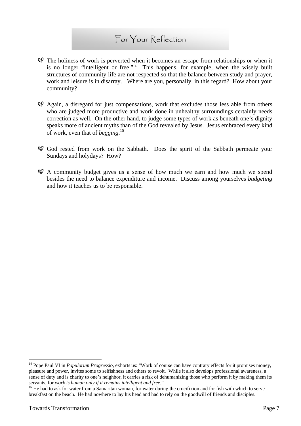### For Your Reflection

- $\mathcal{D}$  The holiness of work is perverted when it becomes an escape from relationships or when it is no longer "intelligent or free."14 This happens, for example, when the wisely built structures of community life are not respected so that the balance between study and prayer, work and leisure is in disarray. Where are you, personally, in this regard? How about your community?
- $\mathcal{A}$  Again, a disregard for just compensations, work that excludes those less able from others who are judged more productive and work done in unhealthy surroundings certainly needs correction as well. On the other hand, to judge some types of work as beneath one's dignity speaks more of ancient myths than of the God revealed by Jesus. Jesus embraced every kind of work, even that of *begging*. 15
- God rested from work on the Sabbath. Does the spirit of the Sabbath permeate your Sundays and holydays? How?
- $\mathcal{A}$  A community budget gives us a sense of how much we earn and how much we spend besides the need to balance expenditure and income. Discuss among yourselves *budgeting*  and how it teaches us to be responsible.

<sup>&</sup>lt;sup>14</sup> Pope Paul VI in *Populorum Progressio*, exhorts us: "Work of course can have contrary effects for it promises money, pleasure and power, invites some to selfishness and others to revolt. While it also develops professional awareness, a sense of duty and is charity to one's neighbor, it carries a risk of dehumanizing those who perform it by making them its servants, for *work is human only if it remains intelligent and free.*"<br><sup>15</sup> He had to ask for water from a Samaritan woman, for water during the crucifixion and for fish with which to serve

breakfast on the beach. He had nowhere to lay his head and had to rely on the goodwill of friends and disciples.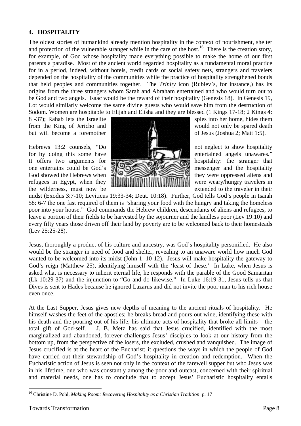#### **4. HOSPITALITY**

The oldest stories of humankind already mention hospitality in the context of nourishment, shelter and protection of the vulnerable stranger while in the care of the host.<sup>16</sup> There is the creation story, for example, of God whose hospitality made everything possible to make the home of our first parents a paradise. Most of the ancient world regarded hospitality as a fundamental moral practice for in a period, indeed, without hotels, credit cards or social safety nets, strangers and travelers depended on the hospitality of the communities while the practice of hospitality strengthened bonds that held peoples and communities together. The *Trinity* icon (Rublev's, for instance,) has its origins from the three strangers whom Sarah and Abraham entertained and who would turn out to be God and two angels. Isaac would be the reward of their hospitality (Genesis 18). In Genesis 19, Lot would similarly welcome the same divine guests who would save him from the destruction of Sodom. Women are hospitable to Elijah and Elisha and they are blessed (1 Kings 17-18; 2 Kings 4:



midst (Exodus 3:7-10; Leviticus 19:33-34; Deut. 10:18). Further, God tells God's people in Isaiah 58: 6-7 the one fast required of them is "sharing your food with the hungry and taking the homeless poor into your house." God commands the Hebrew children, descendants of aliens and refugees, to leave a portion of their fields to be harvested by the sojourner and the landless poor (Lev 19:10) and every fifty years those driven off their land by poverty are to be welcomed back to their homesteads (Lev 25:25-28).

Jesus, thoroughly a product of his culture and ancestry, was God's hospitality personified. He also would be the stranger in need of food and shelter, revealing to an unaware world how much God wanted to be welcomed into its midst (John 1: 10-12). Jesus will make hospitality the gateway to God's reign (Matthew 25), identifying himself with the 'least of these.' In Luke, when Jesus is asked what is necessary to inherit eternal life, he responds with the parable of the Good Samaritan (Lk 10:29-37) and the injunction to "Go and do likewise." In Luke 16:19-31, Jesus tells us that Dives is sent to Hades because he ignored Lazarus and did not invite the poor man to his rich house even once.

At the Last Supper, Jesus gives new depths of meaning to the ancient rituals of hospitality. He himself washes the feet of the apostles; he breaks bread and pours out wine, identifying these with his death and the pouring out of his life, his ultimate acts of hospitality that broke all limits – the total gift of God-self. J. B. Metz has said that Jesus crucified, identified with the most marginalized and abandoned, forever challenges Jesus' disciples to look at our history from the bottom up, from the perspective of the losers, the excluded, crushed and vanquished. The image of Jesus crucified is at the heart of the Eucharist; it questions the ways in which the people of God have carried out their stewardship of God's hospitality in creation and redemption. When the Eucharistic action of Jesus is seen not only in the context of the farewell supper but who Jesus was in his lifetime, one who was constantly among the poor and outcast, concerned with their spiritual and material needs, one has to conclude that to accept Jesus' Eucharistic hospitality entails

 $\overline{a}$ 16 Christine D. Pohl, *Making Room: Recovering Hospitality as a Christian Tradition*. p. 17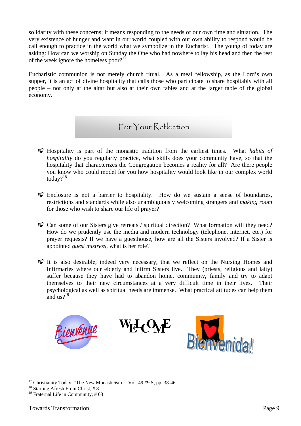solidarity with these concerns; it means responding to the needs of our own time and situation. The very existence of hunger and want in our world coupled with our own ability to respond would be call enough to practice in the world what we symbolize in the Eucharist. The young of today are asking: How can we worship on Sunday the One who had nowhere to lay his head and then the rest of the week ignore the homeless poor? $17$ 

Eucharistic communion is not merely church ritual. As a meal fellowship, as the Lord's own supper, it is an act of divine hospitality that calls those who participate to share hospitably with all people – not only at the altar but also at their own tables and at the larger table of the global economy.

### For Your Reflection

- Hospitality is part of the monastic tradition from the earliest times. What *habits of hospitality* do you regularly practice, what skills does your community have, so that the hospitality that characterizes the Congregation becomes a reality for all? Are there people you know who could model for you how hospitality would look like in our complex world today?<sup>18</sup>
- $\mathcal{D}$  Enclosure is not a barrier to hospitality. How do we sustain a sense of boundaries, restrictions and standards while also unambiguously welcoming strangers and *making room* for those who wish to share our life of prayer?
- $\mathcal{Q}$  Can some of our Sisters give retreats / spiritual direction? What formation will they need? How do we prudently use the media and modern technology (telephone, internet, etc.) for prayer requests? If we have a guesthouse, how are all the Sisters involved? If a Sister is appointed *guest mistress*, what is her role?
- $\mathcal Q$  It is also desirable, indeed very necessary, that we reflect on the Nursing Homes and Infirmaries where our elderly and infirm Sisters live. They (priests, religious and laity) suffer because they have had to abandon home, community, family and try to adapt themselves to their new circumstances at a very difficult time in their lives. Their psychological as well as spiritual needs are immense. What practical attitudes can help them and  $\arctan 9^{19}$



<sup>&</sup>lt;sup>17</sup> Christianity Today, "The New Monasticism." Vol. 49 #9 S, pp. 38-46

<sup>&</sup>lt;sup>18</sup> Starting Afresh From Christ, #8.

 $19$  Fraternal Life in Community, #68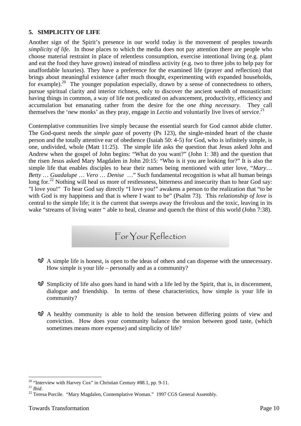#### **5. SIMPLICITY OF LIFE**

Another sign of the Spirit's presence in our world today is the movement of peoples towards *simplicity of life*. In those places to which the media does not pay attention there are people who choose material restraint in place of relentless consumption, exercise intentional living (e.g. plant and eat the food they have grown) instead of mindless activity (e.g. two to three jobs to help pay for unaffordable luxuries). They have a preference for the examined life (prayer and reflection) that brings about meaningful existence (after much thought, experimenting with expanded households, for example).<sup>20</sup> The younger population especially, drawn by a sense of connectedness to others, pursue spiritual clarity and interior richness, only to discover the ancient wealth of monasticism: having things in common, a way of life not predicated on advancement, productivity, efficiency and accumulation but emanating rather from the desire for the *one thing necessary*. They call themselves the 'new monks' as they pray, engage in *Lectio* and voluntarily live lives of service.<sup>21</sup>

Contemplative communities live simply because the essential search for God cannot abide clutter. The God-quest needs the *simple gaze* of poverty (Ps 123), the single-minded heart of the chaste person and the totally attentive ear of obedience (Isaiah 50: 4-5) for God, who is infinitely simple, is one, undivided, whole (Matt 11:25). The simple life asks the question that Jesus asked John and Andrew when the gospel of John begins: "What do you want?" (John 1: 38) and the question that the risen Jesus asked Mary Magdalen in John 20:15: "Who is it you are looking for?" It is also the simple life that enables disciples to hear their names being mentioned with utter love, "*Mary*… *Betty* … *Guadalupe* … *Vero* … *Denise* …" Such fundamental recognition is what all human beings long for.<sup>22</sup> Nothing will heal us more of restlessness, bitterness and insecurity than to hear God say: "I love you!" To hear God say directly "I love you!" awakens a person to the realization that "to be with God is my happiness and that is where I want to be" (Psalm 73). This *relationship of love* is central to the simple life; it is the current that sweeps away the frivolous and the toxic, leaving in its wake "streams of living water " able to heal, cleanse and quench the thirst of this world (John 7:38).

- For Your Reflection
- $\mathcal{A}$  A simple life is honest, is open to the ideas of others and can dispense with the unnecessary. How simple is your life – personally and as a community?
- $\mathcal O$  Simplicity of life also goes hand in hand with a life led by the Spirit, that is, in discernment, dialogue and friendship. In terms of these characteristics, how simple is your life in community?
- $\mathcal{A}$  A healthy community is able to hold the tension between differing points of view and conviction. How does your community balance the tension between good taste, (which sometimes means more expense) and simplicity of life?

<sup>&</sup>lt;sup>20</sup> "Interview with Harvey Cox" in Christian Century #88.1, pp. 9-11.<br><sup>21</sup> Ihid.

<sup>&</sup>lt;sup>22</sup> Teresa Porcile. "Mary Magdalen, Contemplative Woman." 1997 CGS General Assembly.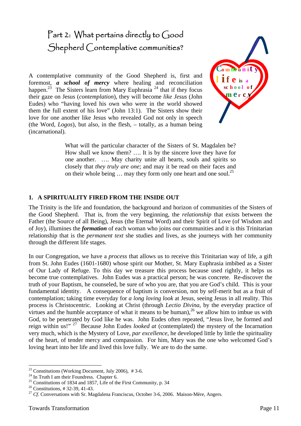# Part 2: What pertains directly to Good Shepherd Contemplative communities?

A contemplative community of the Good Shepherd is, first and foremost, **a** school of mercy where healing and reconciliation happen.<sup>23</sup> The Sisters learn from Mary Euphrasia<sup>24</sup> that if they focus their gaze on Jesus (*contemplation*), they will become *like Jesus* (John Eudes) who "having loved his own who were in the world showed them the full extent of his love" (John 13:1). The Sisters show their love for one another like Jesus who revealed God not only in speech (the Word, *Logos*), but also, in the flesh, – totally, as a human being (incarnational).



What will the particular character of the Sisters of St. Magdalen be? How shall we know them? …. It is by the sincere love they have for one another. …. May charity unite all hearts, souls and spirits so closely that *they truly are one*; and may it be read on their faces and on their whole being  $\ldots$  may they form only one heart and one soul.<sup>25</sup>

#### **1. A SPIRITUALITY FIRED FROM THE INSIDE OUT**

The Trinity is the life and foundation, the background and horizon of communities of the Sisters of the Good Shepherd. That is, from the very beginning, the *relationship* that exists between the Father (the Source of all Being), Jesus (the Eternal Word) and their Spirit of Love (of Wisdom and of Joy), illumines the *formation* of each woman who joins our communities and it is this Trinitarian relationship that is the *permanent text* she studies and lives, as she journeys with her community through the different life stages.

In our Congregation, we have a *process* that allows us to receive this Trinitarian way of life, a gift from St. John Eudes (1601-1680) whose spirit our Mother, St. Mary Euphrasia imbibed as a Sister of Our Lady of Refuge. To this day we treasure this process because used rightly, it helps us become true contemplatives. John Eudes was a practical person; he was concrete. Re-discover the truth of your Baptism, he counseled, be sure of who you are, that you are God's child. This is your fundamental identity. A consequence of baptism is conversion, not by self-merit but as a fruit of contemplation; taking time everyday for *a long loving look* at Jesus, seeing Jesus in all reality. This process is Christocentric. Looking at Christ (through *Lectio Divina*, by the everyday practice of virtues and the humble acceptance of what it means to be human),  $^{26}$  we allow him to imbue us with God, to be penetrated by God like he was. John Eudes often repeated, "Jesus live, be formed and reign within us!" 27 Because John Eudes *looked at* (contemplated) the mystery of the Incarnation very much, which is the Mystery of Love, *par excellence*, he developed little by little the spirituality of the heart, of tender mercy and compassion. For him, Mary was the one who welcomed God's loving heart into her life and lived this love fully. We are to do the same.

 $23$  Constitutions (Working Document, July 2006), #3-6.

 $^{24}$  In Truth I am their Foundress. Chapter 6.

<sup>&</sup>lt;sup>25</sup> Constitutions of 1834 and 1857, Life of the First Community, p. 34

<sup>26</sup> Constitutions, # 32-39, 41-43.

<sup>&</sup>lt;sup>27</sup> *Cf*. Conversations with Sr. Magdalena Franciscus, October 3-6, 2006. Maison-Mère, Angers.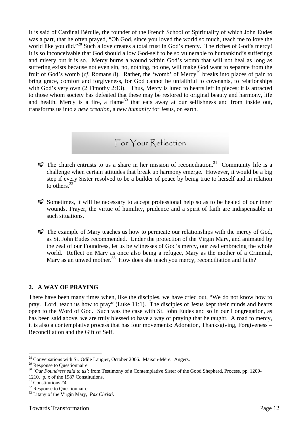It is said of Cardinal Bérulle, the founder of the French School of Spirituality of which John Eudes was a part, that he often prayed, "Oh God, since you loved the world so much, teach me to love the world like you did."<sup>28</sup> Such a love creates a total trust in God's mercy. The riches of God's mercy! It is so inconceivable that God should allow God-self to be so vulnerable to humankind's sufferings and misery but it is so. Mercy burns a wound within God's womb that will not heal as long as suffering exists because not even sin, no, nothing, no one, will make God want to separate from the fruit of God's womb (*cf.* Romans 8). Rather, the 'womb' of Mercy<sup>29</sup> breaks into places of pain to bring grace, comfort and forgiveness, for God cannot be unfaithful to covenants, to relationships with God's very own (2 Timothy 2:13). Thus, Mercy is lured to hearts left in pieces; it is attracted to those whom society has defeated that these may be restored to original beauty and harmony, life and health. Mercy is a fire, a flame<sup>30</sup> that eats away at our selfishness and from inside out, transforms us into a *new creation*, a *new humanity* for Jesus, on earth.

For Your Reflection

- $\mathcal{D}$  The church entrusts to us a share in her mission of reconciliation.<sup>31</sup> Community life is a challenge when certain attitudes that break up harmony emerge. However, it would be a big step if every Sister resolved to be a builder of peace by being true to herself and in relation to others.<sup>32</sup>
- $\mathcal O$  Sometimes, it will be necessary to accept professional help so as to be healed of our inner wounds. Prayer, the virtue of humility, prudence and a spirit of faith are indispensable in such situations.
- $\mathcal{D}$  The example of Mary teaches us how to permeate our relationships with the mercy of God, as St. John Eudes recommended. Under the protection of the Virgin Mary, and animated by the zeal of our Foundress, let us be witnesses of God's mercy, our zeal embracing the whole world. Reflect on Mary as once also being a refugee, Mary as the mother of a Criminal, Mary as an unwed mother.<sup>33</sup> How does she teach you mercy, reconciliation and faith?

#### **2. A WAY OF PRAYING**

There have been many times when, like the disciples, we have cried out, "We do not know how to pray. Lord, teach us how to pray" (Luke 11:1). The disciples of Jesus kept their minds and hearts open to the Word of God. Such was the case with St. John Eudes and so in our Congregation, as has been said above, we are truly blessed to have a way of praying that he taught. A road to mercy, it is also a contemplative process that has four movements: Adoration, Thanksgiving, Forgiveness – Reconciliation and the Gift of Self.

<sup>&</sup>lt;sup>28</sup> Conversations with Sr. Odile Laugier, October 2006. Maison-Mère. Angers.

<sup>29</sup> Response to Questionnaire

<sup>&</sup>lt;sup>30</sup> 'Our Foundress said to us': from Testimony of a Contemplative Sister of the Good Shepherd, Process, pp. 1209-1210. p. x of the 1987 Constitutions.

<sup>&</sup>lt;sup>31</sup> Constitutions #4

<sup>&</sup>lt;sup>32</sup> Response to Questionnaire

<sup>33</sup> Litany of the Virgin Mary, *Pax Christi*.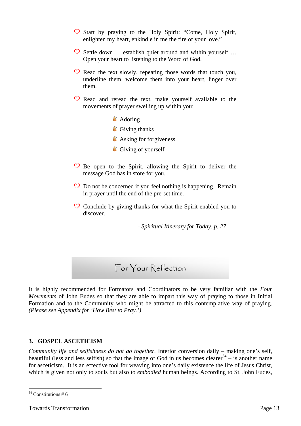- $\heartsuit$  Start by praying to the Holy Spirit: "Come, Holy Spirit, enlighten my heart, enkindle in me the fire of your love."
- $\heartsuit$  Settle down ... establish quiet around and within yourself ... Open your heart to listening to the Word of God.
- $\heartsuit$  Read the text slowly, repeating those words that touch you, underline them, welcome them into your heart, linger over them.
- $\heartsuit$  Read and reread the text, make yourself available to the movements of prayer swelling up within you:
	- **Adoring**
	- **Giving thanks**
	- **Asking for forgiveness**
	- **Giving of yourself**
- $\heartsuit$  Be open to the Spirit, allowing the Spirit to deliver the message God has in store for you.
- $\heartsuit$  Do not be concerned if you feel nothing is happening. Remain in prayer until the end of the pre-set time.
- $\heartsuit$  Conclude by giving thanks for what the Spirit enabled you to discover.

*- Spiritual Itinerary for Today, p. 27* 

### For Your Reflection

It is highly recommended for Formators and Coordinators to be very familiar with the *Four Movements* of John Eudes so that they are able to impart this way of praying to those in Initial Formation and to the Community who might be attracted to this contemplative way of praying. *(Please see Appendix for 'How Best to Pray.')* 

#### **3. GOSPEL ASCETICISM**

*Community life and selfishness do not go together.* Interior conversion daily – making one's self, beautiful (less and less selfish) so that the image of God in us becomes clearer<sup>34</sup> – is another name for asceticism. It is an effective tool for weaving into one's daily existence the life of Jesus Christ, which is given not only to souls but also to *embodied* human beings. According to St. John Eudes,

 $\overline{a}$  $34$  Constitutions # 6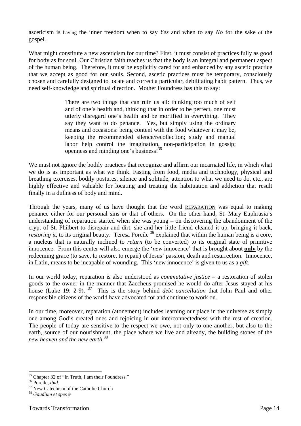asceticism is having the inner freedom when to say *Yes* and when to say *No* for the sake of the gospel.

What might constitute a new asceticism for our time? First, it must consist of practices fully as good for body as for soul. Our Christian faith teaches us that the body is an integral and permanent aspect of the human being. Therefore, it must be explicitly cared for and enhanced by any ascetic practice that we accept as good for our souls. Second, ascetic practices must be temporary, consciously chosen and carefully designed to locate and correct a particular, debilitating habit pattern. Thus, we need self-knowledge and spiritual direction. Mother Foundress has this to say:

> There are two things that can ruin us all: thinking too much of self and of one's health and, thinking that in order to be perfect, one must utterly disregard one's health and be mortified in everything. They say they want to do penance. Yes, but simply using the ordinary means and occasions: being content with the food whatever it may be, keeping the recommended silence/recollection; study and manual labor help control the imagination, non-participation in gossip; openness and minding one's business!35

We must not ignore the bodily practices that recognize and affirm our incarnated life, in which what we do is as important as what we think. Fasting from food, media and technology, physical and breathing exercises, bodily postures, silence and solitude, attention to what we need to do, etc., are highly effective and valuable for locating and treating the habituation and addiction that result finally in a dullness of body and mind.

Through the years, many of us have thought that the word REPARATION was equal to making penance either for our personal sins or that of others. On the other hand, St. Mary Euphrasia's understanding of reparation started when she was young – on discovering the abandonment of the crypt of St. Philbert to disrepair and dirt, she and her little friend cleaned it up, bringing it back, *restoring it*, to its original beauty. Teresa Porcile <sup>36</sup> explained that within the human being is a core, a nucleus that is naturally inclined to *return* (to be converted) to its original state of primitive innocence. From this center will also emerge the '*new* innocence' that is brought about **only** by the redeeming grace (to save, to restore, to repair) of Jesus' passion, death and resurrection. Innocence, in Latin, means to be incapable of wounding. This 'new innocence' is given to us as a *gift*.

In our world today, reparation is also understood as *commutative justice* – a restoration of stolen goods to the owner in the manner that Zaccheus promised he would do after Jesus stayed at his house (Luke 19: 2-9). 37 This is the story behind *debt cancellation* that John Paul and other responsible citizens of the world have advocated for and continue to work on.

In our time, moreover, reparation (atonement) includes learning our place in the universe as simply one among God's created ones and rejoicing in our interconnectedness with the rest of creation. The people of today are sensitive to the respect we owe, not only to one another, but also to the earth, source of our nourishment, the place where we live and already, the building stones of the *new heaven and the new earth*. 38

 $\overline{a}$  $35$  Chapter 32 of "In Truth, I am their Foundress."<br> $36$  Porcile, *ibid*.

<sup>&</sup>lt;sup>37</sup> New Catechism of the Catholic Church

<sup>38</sup> *Gaudium et spes* #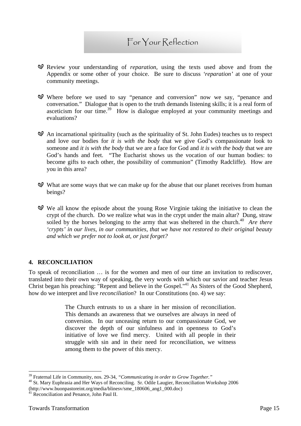# For Your Reflection

- Review your understanding of *reparation*, using the texts used above and from the Appendix or some other of your choice. Be sure to discuss *'reparation'* at one of your community meetings.
- Where before we used to say "penance and conversion" now we say, "penance and conversation." Dialogue that is open to the truth demands listening skills; it is a real form of asceticism for our time.<sup>39</sup> How is dialogue employed at your community meetings and evaluations?
- $\mathcal{A}$  An incarnational spirituality (such as the spirituality of St. John Eudes) teaches us to respect and love our bodies for *it is with the body* that we give God's compassionate look to someone and *it is with the body* that we are a face for God and *it is with the body* that we are God's hands and feet. "The Eucharist shows us the vocation of our human bodies: to become gifts to each other, the possibility of communion" (Timothy Radcliffe). How are you in this area?
- $\mathcal{O}$  What are some ways that we can make up for the abuse that our planet receives from human beings?
- We all know the episode about the young Rose Virginie taking the initiative to clean the crypt of the church. Do we realize what was in the crypt under the main altar? Dung, straw soiled by the horses belonging to the army that was sheltered in the church.<sup>40</sup> *Are there 'crypts' in our lives, in our communities, that we have not restored to their original beauty and which we prefer not to look at, or just forget?*

#### **4. RECONCILIATION**

To speak of reconciliation … is for the women and men of our time an invitation to rediscover, translated into their own way of speaking, the very words with which our savior and teacher Jesus Christ began his preaching: "Repent and believe in the Gospel."<sup>41</sup> As Sisters of the Good Shepherd, how do we interpret and live *reconciliation*? In our Constitutions (no. 4) we say:

> The Church entrusts to us a share in her mission of reconciliation. This demands an awareness that we ourselves are always in need of conversion. In our unceasing return to our compassionate God, we discover the depth of our sinfulness and in openness to God's initiative of love we find mercy. United with all people in their struggle with sin and in their need for reconciliation, we witness among them to the power of this mercy.

<sup>&</sup>lt;sup>39</sup> Fraternal Life in Community, nos. 29-34, "Communicating in order to Grow Together."

<sup>&</sup>lt;sup>40</sup> St. Mary Euphrasia and Her Ways of Reconciling. Sr. Odile Laugier, Reconciliation Workshop 2006 (http://www.buonpastoreint.org/media/blinesv/sme\_180606\_ang1\_000.doc)

<sup>&</sup>lt;sup>41</sup> Reconciliation and Penance, John Paul II.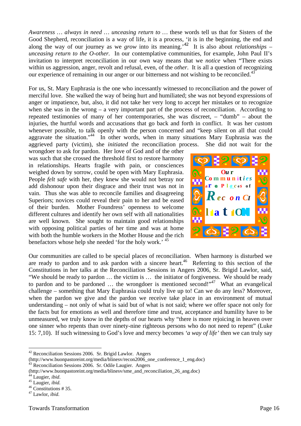*Awareness … always in need … unceasing return to …* these words tell us that for Sisters of the Good Shepherd, reconciliation is a way of life, it is a process, 'it is in the beginning, the end and along the way of our journey as we *grow* into its meaning.<sup>42</sup> It is also about *relationships – unceasing return to the O-other.* In our contemplative communities, for example, John Paul II's invitation to interpret reconciliation in our own way means that we *notice* when "There exists within us aggression, anger, revolt and refusal, even, of the *other*. It is all a question of recognizing our experience of remaining in our anger or our bitterness and not wishing to be reconciled.<sup>43</sup>

For us, St. Mary Euphrasia is the one who incessantly witnessed to reconciliation and the power of merciful love. She walked the way of being hurt and humiliated; she was not beyond expressions of anger or impatience, but, also, it did not take her very long to accept her mistakes or to recognize when she was in the wrong  $-$  a very important part of the process of reconciliation. According to repeated testimonies of many of her contemporaries, she was discreet, – "dumb" – about the injuries, the hurtful words and accusations that go back and forth in conflict. It was her custom whenever possible, to talk openly with the person concerned and "keep silent on all that could aggravate the situation."<sup>44</sup> In other words, when in many situations Mary Euphrasia was the aggrieved party (victim), she *initiated* the reconciliation process. She did not wait for the

wrongdoer to ask for pardon. Her love of God and of the other was such that she crossed the threshold first to restore harmony in relationships. Hearts fragile with pain, or consciences weighed down by sorrow, could be open with Mary Euphrasia. People *felt safe* with her, they knew she would not betray nor add dishonour upon their disgrace and their trust was not in vain. Thus she was able to reconcile families and disagreeing Superiors; novices could reveal their pain to her and be eased of their burden. Mother Foundress' openness to welcome different cultures and identify her own self with all nationalities are well known. She sought to maintain good relationships with opposing political parties of her time and was at home with both the humble workers in the Mother House and the rich benefactors whose help she needed 'for the holy work.' <sup>45</sup>



Our communities are called to be special places of reconciliation. When harmony is disturbed we are ready to pardon and to ask pardon with a sincere heart.<sup>46</sup> Referring to this section of the Constitutions in her talks at the Reconciliation Sessions in Angers 2006, Sr. Brigid Lawlor, said, "We should be ready to pardon … the victim is … the initiator of forgiveness. We should be ready to pardon and to be pardoned  $\ldots$  the wrongdoer is mentioned second!"<sup>47</sup> What an evangelical challenge – something that Mary Euphrasia could truly live up to! Can we do any less? Moreover, when the pardon we give and the pardon we receive take place in an environment of mutual understanding – not only of what is said but of what is not said; where we offer space not only for the facts but for emotions as well and therefore time and trust, acceptance and humility have to be unmeasured, we truly know in the depths of our hearts why "there is more rejoicing in heaven over one sinner who repents than over ninety-nine righteous persons who do not need to repent" (Luke 15: 7,10). If such witnessing to God's love and mercy becomes *'a way of life'* then we can truly say

<sup>42</sup> Reconciliation Sessions 2006. Sr. Brigid Lawlor. Angers

<sup>(</sup>http://www.buonpastoreint.org/media/blinesv/recon2006\_one\_conference\_1\_eng.doc) 43 Reconciliation Sessions 2006. Sr. Odile Laugier. Angers

<sup>(</sup>http://www.buonpastoreint.org/media/blinesv/sme\_and\_reconciliation\_26\_ang.doc)

<sup>44</sup> Laugier, *ibid*. 45 Laugier, *ibid.* 46 Constitutions # 35.

<sup>47</sup> Lawlor, *ibid*.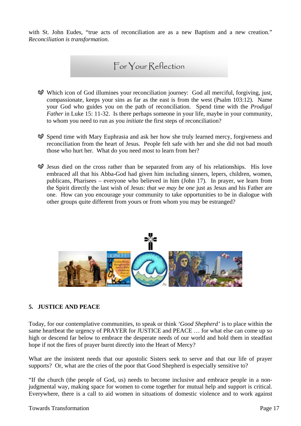with St. John Eudes, "true acts of reconciliation are as a new Baptism and a new creation." *Reconciliation is transformation*.

### For Your Reflection

- Which icon of God illumines your reconciliation journey: God all merciful, forgiving, just, compassionate, keeps your sins as far as the east is from the west (Psalm 103:12). Name your God who guides you on the path of reconciliation. Spend time with the *Prodigal Father* in Luke 15: 11-32. Is there perhaps someone in your life, maybe in your community, to whom you need to run as you *initiate* the first steps of reconciliation?
- Spend time with Mary Euphrasia and ask her how she truly learned mercy, forgiveness and reconciliation from the heart of Jesus. People felt safe with her and she did not bad mouth those who hurt her. What do you need most to learn from her?
- $\mathcal Q$  Jesus died on the cross rather than be separated from any of his relationships. His love embraced all that his Abba-God had given him including sinners, lepers, children, women, publicans, Pharisees – everyone who believed in him (John 17). In prayer, we learn from the Spirit directly the last wish of Jesus: *that we may be one* just as Jesus and his Father are one. How can you encourage your community to take opportunities to be in dialogue with other groups quite different from yours or from whom you may be estranged?



#### **5. JUSTICE AND PEACE**

Today, for our contemplative communities, to speak or think *'Good Shepherd'* is to place within the same heartbeat the urgency of PRAYER for JUSTICE and PEACE … for what else can come up so high or descend far below to embrace the desperate needs of our world and hold them in steadfast hope if not the fires of prayer burnt directly into the Heart of Mercy?

What are the insistent needs that our apostolic Sisters seek to serve and that our life of prayer supports? Or, what are the cries of the poor that Good Shepherd is especially sensitive to?

"If the church (the people of God, us) needs to become inclusive and embrace people in a nonjudgmental way, making space for women to come together for mutual help and support is critical. Everywhere, there is a call to aid women in situations of domestic violence and to work against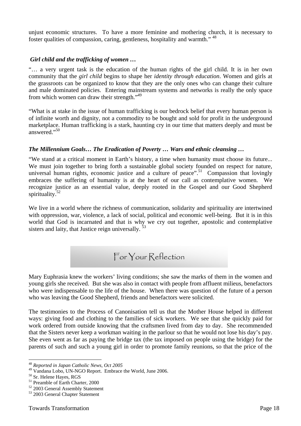unjust economic structures. To have a more feminine and mothering church, it is necessary to foster qualities of compassion, caring, gentleness, hospitality and warmth." 48

#### *Girl child and the trafficking of women …*

"… a very urgent task is the education of the human rights of the girl child. It is in her own community that the *girl child* begins to shape her *identity through education*. Women and girls at the grassroots can be organized to know that they are the only ones who can change their culture and male dominated policies. Entering mainstream systems and networks is really the only space from which women can draw their strength."<sup>49</sup>

"What is at stake in the issue of human trafficking is our bedrock belief that every human person is of infinite worth and dignity, not a commodity to be bought and sold for profit in the underground marketplace. Human trafficking is a stark, haunting cry in our time that matters deeply and must be answered."50

#### *The Millennium Goals… The Eradication of Poverty … Wars and ethnic cleansing …*

"We stand at a critical moment in Earth's history, a time when humanity must choose its future... We must join together to bring forth a sustainable global society founded on respect for nature, universal human rights, economic justice and a culture of peace".<sup>51</sup> Compassion that lovingly embraces the suffering of humanity is at the heart of our call as contemplative women. We recognize justice as an essential value, deeply rooted in the Gospel and our Good Shepherd spirituality. $52$ 

We live in a world where the richness of communication, solidarity and spirituality are intertwined with oppression, war, violence, a lack of social, political and economic well-being. But it is in this world that God is incarnated and that is why we cry out together, apostolic and contemplative sisters and laity, that Justice reign universally.<sup>53</sup>

For Your Reflection

Mary Euphrasia knew the workers' living conditions; she saw the marks of them in the women and young girls she received. But she was also in contact with people from affluent milieus, benefactors who were indispensable to the life of the house. When there was question of the future of a person who was leaving the Good Shepherd, friends and benefactors were solicited.

The testimonies to the Process of Canonisation tell us that the Mother House helped in different ways: giving food and clothing to the families of sick workers. We see that she quickly paid for work ordered from outside knowing that the craftsmen lived from day to day. She recommended that the Sisters never keep a workman waiting in the parlour so that he would not lose his day's pay. She even went as far as paying the bridge tax (the tax imposed on people using the bridge) for the parents of such and such a young girl in order to promote family reunions, so that the price of the

<sup>48</sup> *Reported in Japan Catholic News, Oct 2005*

 $^{49}$  Vandana Lobo, UN-NGO Report. Embrace the World, June 2006.  $^{50}$  Sr. Helene Hayes, RGS

<sup>51</sup> Preamble of Earth Charter, 2000

<sup>52 2003</sup> General Assembly Statement

<sup>53 2003</sup> General Chapter Statement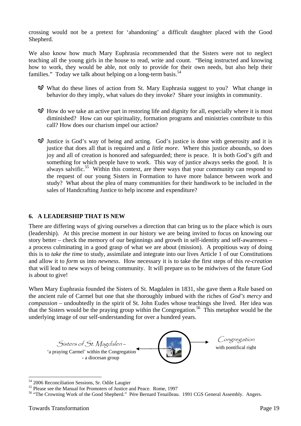crossing would not be a pretext for 'abandoning' a difficult daughter placed with the Good Shepherd.

We also know how much Mary Euphrasia recommended that the Sisters were not to neglect teaching all the young girls in the house to read, write and count. "Being instructed and knowing how to work, they would be able, not only to provide for their own needs, but also help their families." Today we talk about helping on a long-term basis.<sup>54</sup>

- What do these lines of action from St. Mary Euphrasia suggest to you? What change in behavior do they imply, what values do they invoke? Share your insights in community.
- $\mathcal{A}$  How do we take an active part in restoring life and dignity for all, especially where it is most diminished? How can our spirituality, formation programs and ministries contribute to this call? How does our charism impel our action?
- $\mathcal Q$  Justice is God's way of being and acting. God's justice is done with generosity and it is justice that does all that is required and *a little more*. Where this justice abounds, so does joy and all of creation is honored and safeguarded; there is peace. It is both God's gift and something for which people have to work. This way of justice always seeks the good. It is always salvific.<sup>55</sup> Within this context, are there ways that your community can respond to the request of our young Sisters in Formation to have more balance between work and study? What about the plea of many communities for their handiwork to be included in the sales of Handcrafting Justice to help income and expenditure?

#### **6. A LEADERSHIP THAT IS NEW**

There are differing ways of giving ourselves a direction that can bring us to the place which is ours (leadership). At this precise moment in our history we are being invited to focus on knowing our story better – check the memory of our beginnings and growth in self-identity and self-awareness – a process culminating in a good grasp of what we are about (mission). A propitious way of doing this is to *take the time* to study, assimilate and integrate into our lives Article 1 of our Constitutions and allow it to *form* us into *newness*. How necessary it is to take the first steps of this *re-creation* that will lead to new ways of being community. It will prepare us to be midwives of the future God is about to give!

When Mary Euphrasia founded the Sisters of St. Magdalen in 1831, she gave them a Rule based on the ancient rule of Carmel but one that she thoroughly imbued with the riches of *God's mercy* and *compassion* – undoubtedly in the spirit of St. John Eudes whose teachings she lived. Her idea was that the Sisters would be the praying group within the Congregation.<sup>56</sup> This metaphor would be the underlying image of our self-understanding for over a hundred years.



 $54$  2006 Reconciliation Sessions, Sr. Odile Laugier<br> $55$  Please see the Manual for Promoters of Justice and Peace. Rome, 1997

<sup>&</sup>lt;sup>56</sup> "The Crowning Work of the Good Shepherd." Père Bernard Tenailleau. 1991 CGS General Assembly. Angers.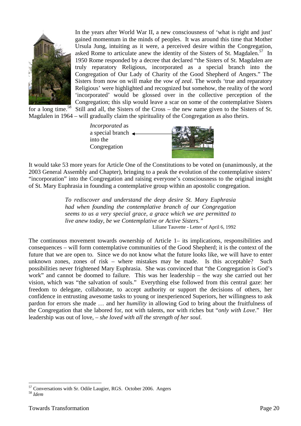

In the years after World War II, a new consciousness of 'what is right and just' gained momentum in the minds of peoples. It was around this time that Mother Ursula Jung, intuiting as it were, a perceived desire within the Congregation, asked Rome to articulate anew the identity of the Sisters of St. Magdalen.<sup>57</sup> In 1950 Rome responded by a decree that declared "the Sisters of St. Magdalen are truly reparatory Religious, incorporated as a special branch into the Congregation of Our Lady of Charity of the Good Shepherd of Angers." The Sisters from now on will make the *vow of zeal*. The words 'true and reparatory Religious' were highlighted and recognized but somehow, the reality of the word 'incorporated' would be glossed over in the collective perception of the Congregation; this slip would leave a scar on some of the contemplative Sisters for a long time.<sup>58</sup> Still and all, the Sisters of the Cross – the new name given to the Sisters of St. Magdalen in 1964 – will gradually claim the spirituality of the Congregation as also theirs.

*Incorporated* as a special branch  $\leftarrow$ into the Congregation

It would take 53 more years for Article One of the Constitutions to be voted on (unanimously, at the 2003 General Assembly and Chapter), bringing to a peak the evolution of the contemplative sisters' "incorporation" into the Congregation and raising everyone's consciousness to the original insight of St. Mary Euphrasia in founding a contemplative group within an apostolic congregation.

> *To rediscover and understand the deep desire St. Mary Euphrasia had when founding the contemplative branch of our Congregation seems to us a very special grace, a grace which we are permitted to live anew today, be we Contemplative or Active Sisters."*  Liliane Tauvette - Letter of April 6, 1992

The continuous movement towards ownership of Article 1– its implications, responsibilities and consequences – will form contemplative communities of the Good Shepherd; it is the context of the future that we are open to. Since we do not know what the future looks like, we will have to enter unknown zones, zones of risk – where mistakes may be made. Is this acceptable? Such possibilities never frightened Mary Euphrasia. She was convinced that "the Congregation is God's work" and cannot be doomed to failure. This was her leadership – the way she carried out her vision, which was "the salvation of souls." Everything else followed from this central gaze: her freedom to delegate, collaborate, to accept authority or support the decisions of others, her confidence in entrusting awesome tasks to young or inexperienced Superiors, her willingness to ask pardon for errors she made … and her *humility* in allowing God to bring about the fruitfulness of the Congregation that she labored for, not with talents, nor with riches but "*only with Love*." Her leadership was out of love, – *she loved with all the strength of her soul*.

 $\overline{a}$ 57 Conversations with Sr. Odile Laugier, RGS. October 2006. Angers <sup>58</sup> *Idem*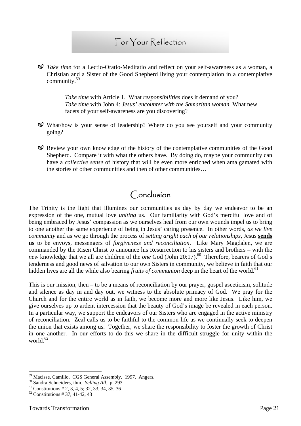### For Your Reflection

*Take time* for a Lectio-Oratio-Meditatio and reflect on your self-awareness as a woman, a Christian and a Sister of the Good Shepherd living your contemplation in a contemplative community.59

> *Take time* with Article 1. What *responsibilities* does it demand of you? *Take time* with John 4: *Jesus' encounter with the Samaritan woman*. What new facets of your self-awareness are you discovering?

- What/how is your sense of leadership? Where do you see yourself and your community going?
- Review your own knowledge of the history of the contemplative communities of the Good Shepherd. Compare it with what the others have. By doing do, maybe your community can have a *collective sense* of history that will be even more enriched when amalgamated with the stories of other communities and then of other communities…

# Conclusion

The Trinity is the light that illumines our communities as day by day we endeavor to be an expression of the one, mutual love *uniting* us. Our familiarity with God's merciful love and of being embraced by Jesus' compassion as we ourselves heal from our own wounds impel us to bring to one another the same experience of being in Jesus' caring presence. In other words, *as we live community* and as we go through the process of *setting aright each of our relationships*, Jesus **sends us** to be envoys, messengers of *forgiveness and reconciliation*. Like Mary Magdalen, we are commanded by the Risen Christ to announce his Resurrection to his sisters and brothers – with the *new* knowledge that we all are children of the *one* God (John 20:17).<sup>60</sup> Therefore, bearers of God's tenderness and good news of salvation to our own Sisters in community, we believe in faith that our hidden lives are all the while also bearing *fruits of communion* deep in the heart of the world.<sup>61</sup>

This is our mission, then – to be a means of reconciliation by our prayer, gospel asceticism, solitude and silence as day in and day out, we witness to the absolute primacy of God. We pray for the Church and for the entire world as in faith, we become more and more like Jesus. Like him, we give ourselves up to ardent intercession that the beauty of God's image be revealed in each person. In a particular way, we support the endeavors of our Sisters who are engaged in the active ministry of reconciliation. Zeal calls us to be faithful to the common life as we continually seek to deepen the union that exists among us. Together, we share the responsibility to foster the growth of Christ in one another. In our efforts to do this we share in the difficult struggle for unity within the world.<sup>62</sup>

<sup>&</sup>lt;sup>59</sup> Macisse, Camillo. CGS General Assembly. 1997. Angers.<br><sup>60</sup> Sandra Schneiders, ihm. *Selling All*. p. 293<br><sup>61</sup> Constitutions # 2, 3, 4, 5; 32, 33, 34, 35, 36

 $62$  Constitutions # 37, 41-42, 43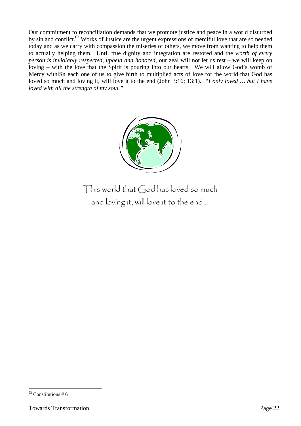Our commitment to reconciliation demands that we promote justice and peace in a world disturbed by sin and conflict.<sup>63</sup> Works of Justice are the urgent expressions of merciful love that are so needed today and as we carry with compassion the miseries of others, we move from wanting to help them to actually helping them. Until true dignity and integration are restored and the *worth of every person is inviolably respected, upheld and honored,* our zeal will not let us rest – we will keep on loving – with the love that the Spirit is pouring into our hearts. We will allow God's womb of Mercy withiSn each one of us to give birth to multiplied acts of love for the world that God has loved so much and loving it, will love it to the end (John 3:16; 13:1). *"I only loved … but I have loved with all the strength of my soul."* 



This world that God has loved so much and loving it, will love it to the end …

 $\overline{a}$  $63$  Constitutions # 6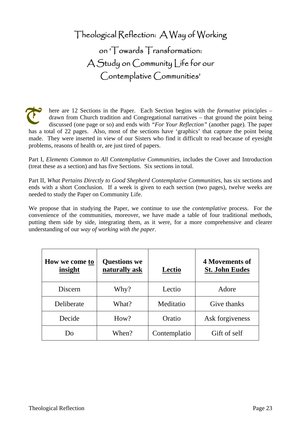Theological Reflection: A Way of Working on 'Towards Transformation: A Study on Community Life for our Contemplative Communities'

here are 12 Sections in the Paper. Each Section begins with the *formative* principles – drawn from Church tradition and Congregational narratives – that ground the point being discussed (one page or so) and ends with *"For Your Reflection"* (another page). The paper has a total of 22 pages. Also, most of the sections have 'graphics' that capture the point being made. They were inserted in view of our Sisters who find it difficult to read because of eyesight problems, reasons of health or, are just tired of papers.

Part I, *Elements Common to All Contemplative Communities,* includes the Cover and Introduction (treat these as a section) and has five Sections. Six sections in total.

Part II, *What Pertains Directly to Good Shepherd Contemplative Communities*, has six sections and ends with a short Conclusion. If a week is given to each section (two pages), twelve weeks are needed to study the Paper on Community Life.

We propose that in studying the Paper, we continue to use the *contemplative* process. For the convenience of the communities, moreover, we have made a table of four traditional methods, putting them side by side, integrating them, as it were, for a more comprehensive and clearer understanding of our *way of working with the paper.*

| How we come to<br>insight | <b>Questions we</b><br>naturally ask | Lectio       | <b>4 Movements of</b><br><b>St. John Eudes</b> |
|---------------------------|--------------------------------------|--------------|------------------------------------------------|
| Discern                   | Why?                                 | Lectio       | Adore                                          |
| Deliberate                | What?                                | Meditatio    | Give thanks                                    |
| Decide                    | How?                                 | Oratio       | Ask for giveness                               |
| Do                        | When?                                | Contemplatio | Gift of self                                   |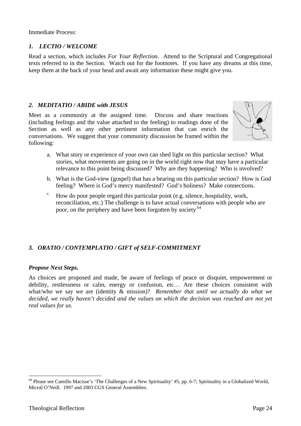Immediate Process:

#### *1. LECTIO / WELCOME*

Read a section, which includes *For Your Reflection*. Attend to the Scriptural and Congregational texts referred to in the Section. Watch out for the footnotes. If you have any dreams at this time, keep them at the back of your head and await any information these might give you.

#### *2. MEDITATIO / ABIDE with JESUS*

Meet as a community at the assigned time. Discuss and share reactions (including feelings and the value attached to the feeling) to readings done of the Section as well as any other pertinent information that can enrich the conversations. We suggest that your community discussion be framed within the following:



- a. What story or experience of your own can shed light on this particular section? What stories, what movements are going on in the world right now that may have a particular relevance to this point being discussed? Why are they happening? Who is involved?
- b. What is the God-view (gospel) that has a bearing on this particular section? How is God feeling? Where is God's mercy manifested? God's holiness? Make connections.
- $\epsilon$ . How do poor people regard this particular point (e.g. silence, hospitality, work, reconciliation, etc.) The challenge is to have actual conversations with people who are poor, on the periphery and have been forgotten by society.<sup>64</sup>

#### *3. ORATIO / CONTEMPLATIO / GIFT of SELF-COMMITMENT*

#### *Propose Next Steps.*

As choices are proposed and made, be aware of feelings of peace or disquiet, empowerment or debility, restlessness or calm, energy or confusion, etc… Are these choices consistent with what/who we say we are (identity & mission)? *Remember that until we actually do what we decided, we really haven't decided and the values on which the decision was reached are not yet real values for us*.

<sup>&</sup>lt;sup>64</sup> Please see Camillo Macisse's 'The Challenges of a New Spirituality' #5, pp. 6-7; Spirituality in a Globalized World, Miceál O'Neill. 1997 and 2003 CGS General Assemblies.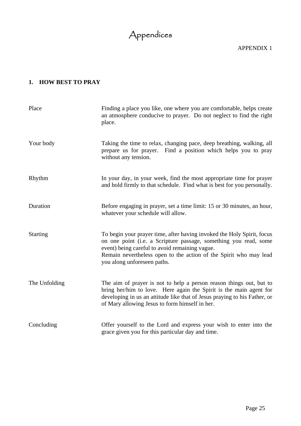# Appendices

APPENDIX 1

### **1. HOW BEST TO PRAY**

| Place           | Finding a place you like, one where you are comfortable, helps create<br>an atmosphere conducive to prayer. Do not neglect to find the right<br>place.                                                                                                                                           |
|-----------------|--------------------------------------------------------------------------------------------------------------------------------------------------------------------------------------------------------------------------------------------------------------------------------------------------|
| Your body       | Taking the time to relax, changing pace, deep breathing, walking, all<br>prepare us for prayer. Find a position which helps you to pray<br>without any tension.                                                                                                                                  |
| Rhythm          | In your day, in your week, find the most appropriate time for prayer<br>and hold firmly to that schedule. Find what is best for you personally.                                                                                                                                                  |
| Duration        | Before engaging in prayer, set a time limit: 15 or 30 minutes, an hour,<br>whatever your schedule will allow.                                                                                                                                                                                    |
| <b>Starting</b> | To begin your prayer time, after having invoked the Holy Spirit, focus<br>on one point (i.e. a Scripture passage, something you read, some<br>event) being careful to avoid remaining vague.<br>Remain nevertheless open to the action of the Spirit who may lead<br>you along unforeseen paths. |
| The Unfolding   | The aim of prayer is not to help a person reason things out, but to<br>bring her/him to love. Here again the Spirit is the main agent for<br>developing in us an attitude like that of Jesus praying to his Father, or<br>of Mary allowing Jesus to form himself in her.                         |
| Concluding      | Offer yourself to the Lord and express your wish to enter into the<br>grace given you for this particular day and time.                                                                                                                                                                          |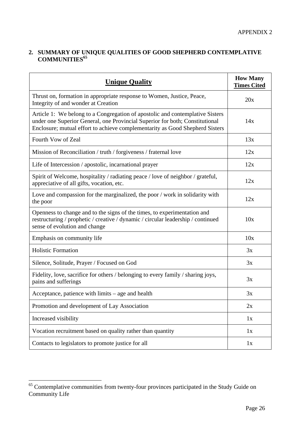#### **2. SUMMARY OF UNIQUE QUALITIES OF GOOD SHEPHERD CONTEMPLATIVE COMMUNITIES<sup>65</sup>**

| <b>Unique Quality</b>                                                                                                                                                                                                                         | <b>How Many</b><br><b>Times Cited</b> |
|-----------------------------------------------------------------------------------------------------------------------------------------------------------------------------------------------------------------------------------------------|---------------------------------------|
| Thrust on, formation in appropriate response to Women, Justice, Peace,<br>Integrity of and wonder at Creation                                                                                                                                 | 20x                                   |
| Article 1: We belong to a Congregation of apostolic and contemplative Sisters<br>under one Superior General, one Provincial Superior for both; Constitutional<br>Enclosure; mutual effort to achieve complementarity as Good Shepherd Sisters | 14x                                   |
| Fourth Vow of Zeal                                                                                                                                                                                                                            | 13x                                   |
| Mission of Reconciliation / truth / forgiveness / fraternal love                                                                                                                                                                              | 12x                                   |
| Life of Intercession / apostolic, incarnational prayer                                                                                                                                                                                        | 12x                                   |
| Spirit of Welcome, hospitality / radiating peace / love of neighbor / grateful,<br>appreciative of all gifts, vocation, etc.                                                                                                                  | 12x                                   |
| Love and compassion for the marginalized, the poor / work in solidarity with<br>the poor                                                                                                                                                      | 12x                                   |
| Openness to change and to the signs of the times, to experimentation and<br>restructuring / prophetic / creative / dynamic / circular leadership / continued<br>sense of evolution and change                                                 | 10x                                   |
| Emphasis on community life                                                                                                                                                                                                                    | 10x                                   |
| <b>Holistic Formation</b>                                                                                                                                                                                                                     | 3x                                    |
| Silence, Solitude, Prayer / Focused on God                                                                                                                                                                                                    | 3x                                    |
| Fidelity, love, sacrifice for others / belonging to every family / sharing joys,<br>pains and sufferings                                                                                                                                      | 3x                                    |
| Acceptance, patience with $limits - age$ and health                                                                                                                                                                                           | 3x                                    |
| Promotion and development of Lay Association                                                                                                                                                                                                  | 2x                                    |
| Increased visibility                                                                                                                                                                                                                          | 1x                                    |
| Vocation recruitment based on quality rather than quantity                                                                                                                                                                                    | 1x                                    |
| Contacts to legislators to promote justice for all                                                                                                                                                                                            | 1x                                    |

 $65$  Contemplative communities from twenty-four provinces participated in the Study Guide on Community Life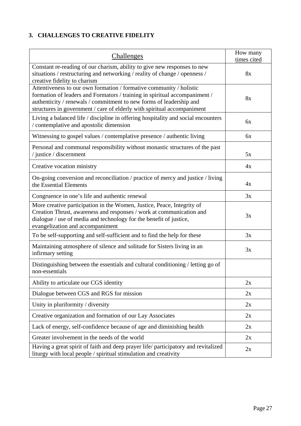### **3. CHALLENGES TO CREATIVE FIDELITY**

| <b>Challenges</b>                                                                                                                                                                                                                                                                                   | How many<br>times cited |
|-----------------------------------------------------------------------------------------------------------------------------------------------------------------------------------------------------------------------------------------------------------------------------------------------------|-------------------------|
| Constant re-reading of our charism, ability to give new responses to new<br>situations / restructuring and networking / reality of change / openness /<br>creative fidelity to charism                                                                                                              | 8x                      |
| Attentiveness to our own formation / formative community / holistic<br>formation of leaders and Formators / training in spiritual accompaniment /<br>authenticity / renewals / commitment to new forms of leadership and<br>structures in government / care of elderly with spiritual accompaniment | 8x                      |
| Living a balanced life / discipline in offering hospitality and social encounters<br>/ contemplative and apostolic dimension                                                                                                                                                                        | 6x                      |
| Witnessing to gospel values / contemplative presence / authentic living                                                                                                                                                                                                                             | 6x                      |
| Personal and communal responsibility without monastic structures of the past<br>/ justice / discernment                                                                                                                                                                                             | 5x                      |
| Creative vocation ministry                                                                                                                                                                                                                                                                          | 4x                      |
| On-going conversion and reconciliation / practice of mercy and justice / living<br>the Essential Elements                                                                                                                                                                                           | 4x                      |
| Congruence in one's life and authentic renewal                                                                                                                                                                                                                                                      | 3x                      |
| More creative participation in the Women, Justice, Peace, Integrity of<br>Creation Thrust, awareness and responses / work at communication and<br>dialogue / use of media and technology for the benefit of justice,<br>evangelization and accompaniment                                            | 3x                      |
| To be self-supporting and self-sufficient and to find the help for these                                                                                                                                                                                                                            | 3x                      |
| Maintaining atmosphere of silence and solitude for Sisters living in an<br>infirmary setting                                                                                                                                                                                                        | 3x                      |
| Distinguishing between the essentials and cultural conditioning / letting go of<br>non-essentials                                                                                                                                                                                                   |                         |
| Ability to articulate our CGS identity                                                                                                                                                                                                                                                              | 2x                      |
| Dialogue between CGS and RGS for mission                                                                                                                                                                                                                                                            | 2x                      |
| Unity in pluriformity / diversity                                                                                                                                                                                                                                                                   | 2x                      |
| Creative organization and formation of our Lay Associates                                                                                                                                                                                                                                           | 2x                      |
| Lack of energy, self-confidence because of age and diminishing health                                                                                                                                                                                                                               | 2x                      |
| Greater involvement in the needs of the world                                                                                                                                                                                                                                                       | 2x                      |
| Having a great spirit of faith and deep prayer life/ participatory and revitalized<br>liturgy with local people / spiritual stimulation and creativity                                                                                                                                              | 2x                      |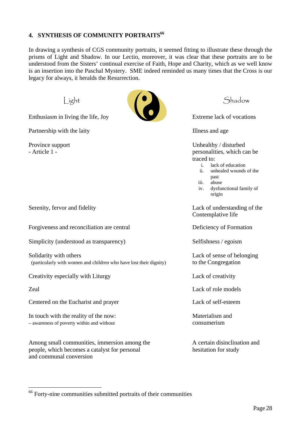#### **4. SYNTHESIS OF COMMUNITY PORTRAITS66**

In drawing a synthesis of CGS community portraits, it seemed fitting to illustrate these through the prisms of Light and Shadow. In our Lectio, moreover, it was clear that these portraits are to be understood from the Sisters' continual exercise of Faith, Hope and Charity, which as we well know is an insertion into the Paschal Mystery. SME indeed reminded us many times that the Cross is our legacy for always, it heralds the Resurrection.

Enthusiasm in living the life, Joy Extreme lack of vocations

Partnership with the laity **Illness** and age



Province support Unhealthy / disturbed - Article 1 - personalities, which can be expected by the personalities, which can be traced to:

- i. lack of education
- ii. unhealed wounds of the past
- iii. abuse
- iv. dysfunctional family of origin

Serenity, fervor and fidelity **Lack of understanding of the** Contemplative life

Zeal Lack of role models

Forgiveness and reconciliation are central Deficiency of Formation

Simplicity (understood as transparency) Selfishness / egoism

Solidarity with others Solidarity with others and the sense of belonging Lack of sense of belonging (particularly with women and children who have lost their dignity) to the Congregation

Creativity especially with Liturgy Lack of creativity

 $\overline{a}$ 

Centered on the Eucharist and prayer Lack of self-esteem

In touch with the reality of the now: Materialism and – awareness of poverty within and without consumerism

Among small communities, immersion among the A certain disinclination and people, which becomes a catalyst for personal hesitation for study and communal conversion

<sup>&</sup>lt;sup>66</sup> Forty-nine communities submitted portraits of their communities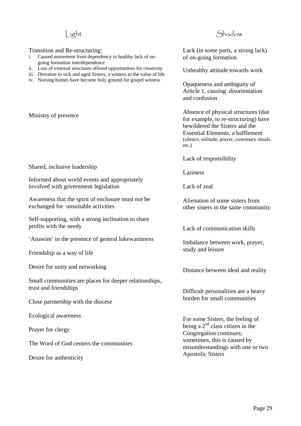#### Transition and Re-structuring:

- i. Caused movement from dependency to healthy lack of ongoing formation interdependence
- ii. Loss of external structures offered opportunities for creativity
- iii. Devotion to sick and aged Sisters, a witness to the value of life
- iv. Nursing homes have become holy ground for gospel witness

Ministry of presence

#### Shared, inclusive leadership

Informed about world events and appropriately involved with government legislation

Awareness that the spirit of enclosure must not be exchanged for unsuitable activities

Self-supporting, with a strong inclination to share profits with the needy

'Anawim' in the presence of general lukewarmness

Friendship as a way of life

Desire for unity and networking

Small communities are places for deeper relationships, trust and friendships

Close partnership with the diocese

Ecological awareness

Prayer for clergy

The Word of God centers the communities

Desire for authenticity

### Light Shadow

Lack (in some parts, a strong lack) of on-going formation

Unhealthy attitude towards work

Opaqueness and ambiguity of Article 1, causing disorientation and confusion

Absence of physical structures (due for example, to re-structuring) have bewildered the Sisters and the Essential Elements, a bafflement (silence, solitude, prayer, customary rituals, etc.)

Lack of responsibility

Laziness

Lack of zeal

Alienation of some sisters from other sisters in the same community

Lack of communication skills

Imbalance between work, prayer, study and leisure

Distance between ideal and reality

Difficult personalities are a heavy burden for small communities

For some Sisters, the feeling of being a  $2<sup>nd</sup>$  class citizen in the Congregation continues; sometimes, this is caused by misunderstandings with one or two Apostolic Sisters